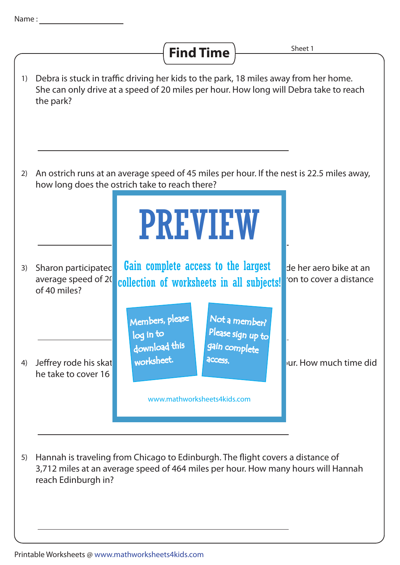